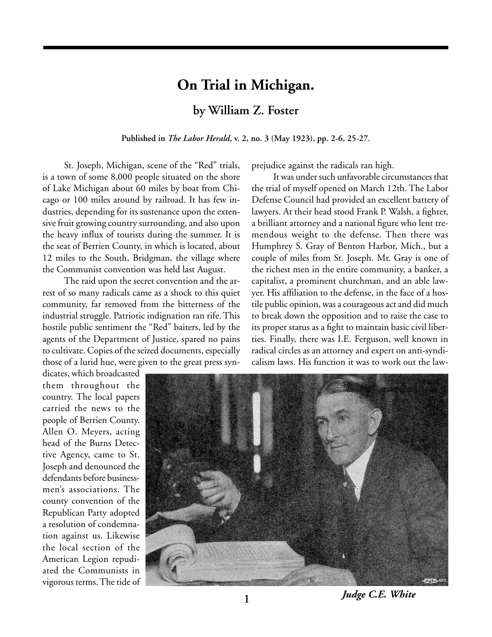# **On Trial in Michigan.**

**by William Z. Foster**

**Published in** *The Labor Herald***, v. 2, no. 3 (May 1923), pp. 2-6, 25-27.**

St. Joseph, Michigan, scene of the "Red" trials, is a town of some 8,000 people situated on the shore of Lake Michigan about 60 miles by boat from Chicago or 100 miles around by railroad. It has few industries, depending for its sustenance upon the extensive fruit growing country surrounding, and also upon the heavy influx of tourists during the summer. It is the seat of Berrien County, in which is located, about 12 miles to the South, Bridgman, the village where the Communist convention was held last August.

The raid upon the secret convention and the arrest of so many radicals came as a shock to this quiet community, far removed from the bitterness of the industrial struggle. Patriotic indignation ran rife. This hostile public sentiment the "Red" baiters, led by the agents of the Department of Justice, spared no pains to cultivate. Copies of the seized documents, especially those of a lurid hue, were given to the great press synprejudice against the radicals ran high.

It was under such unfavorable circumstances that the trial of myself opened on March 12th. The Labor Defense Council had provided an excellent battery of lawyers. At their head stood Frank P. Walsh, a fighter, a brilliant attorney and a national figure who lent tremendous weight to the defense. Then there was Humphrey S. Gray of Benton Harbor, Mich., but a couple of miles from St. Joseph. Mr. Gray is one of the richest men in the entire community, a banker, a capitalist, a prominent churchman, and an able lawyer. His affiliation to the defense, in the face of a hostile public opinion, was a courageous act and did much to break down the opposition and to raise the case to its proper status as a fight to maintain basic civil liberties. Finally, there was I.E. Ferguson, well known in radical circles as an attorney and expert on anti-syndicalism laws. His function it was to work out the law-

dicates, which broadcasted them throughout the country. The local papers carried the news to the people of Berrien County. Allen O. Meyers, acting head of the Burns Detective Agency, came to St. Joseph and denounced the defendants before businessmen's associations. The county convention of the Republican Party adopted a resolution of condemnation against us. Likewise the local section of the American Legion repudiated the Communists in vigorous terms. The tide of



*Judge C.E. White*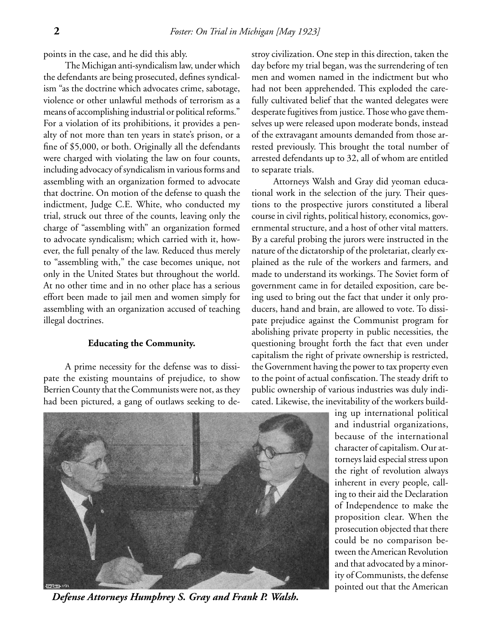points in the case, and he did this ably.

The Michigan anti-syndicalism law, under which the defendants are being prosecuted, defines syndicalism "as the doctrine which advocates crime, sabotage, violence or other unlawful methods of terrorism as a means of accomplishing industrial or political reforms." For a violation of its prohibitions, it provides a penalty of not more than ten years in state's prison, or a fine of \$5,000, or both. Originally all the defendants were charged with violating the law on four counts, including advocacy of syndicalism in various forms and assembling with an organization formed to advocate that doctrine. On motion of the defense to quash the indictment, Judge C.E. White, who conducted my trial, struck out three of the counts, leaving only the charge of "assembling with" an organization formed to advocate syndicalism; which carried with it, however, the full penalty of the law. Reduced thus merely to "assembling with," the case becomes unique, not only in the United States but throughout the world. At no other time and in no other place has a serious effort been made to jail men and women simply for assembling with an organization accused of teaching illegal doctrines.

#### **Educating the Community.**

A prime necessity for the defense was to dissipate the existing mountains of prejudice, to show Berrien County that the Communists were not, as they had been pictured, a gang of outlaws seeking to destroy civilization. One step in this direction, taken the day before my trial began, was the surrendering of ten men and women named in the indictment but who had not been apprehended. This exploded the carefully cultivated belief that the wanted delegates were desperate fugitives from justice. Those who gave themselves up were released upon moderate bonds, instead of the extravagant amounts demanded from those arrested previously. This brought the total number of arrested defendants up to 32, all of whom are entitled to separate trials.

Attorneys Walsh and Gray did yeoman educational work in the selection of the jury. Their questions to the prospective jurors constituted a liberal course in civil rights, political history, economics, governmental structure, and a host of other vital matters. By a careful probing the jurors were instructed in the nature of the dictatorship of the proletariat, clearly explained as the rule of the workers and farmers, and made to understand its workings. The Soviet form of government came in for detailed exposition, care being used to bring out the fact that under it only producers, hand and brain, are allowed to vote. To dissipate prejudice against the Communist program for abolishing private property in public necessities, the questioning brought forth the fact that even under capitalism the right of private ownership is restricted, the Government having the power to tax property even to the point of actual confiscation. The steady drift to public ownership of various industries was duly indicated. Likewise, the inevitability of the workers build-



*Defense Attorneys Humphrey S. Gray and Frank P. Walsh.*

ing up international political and industrial organizations, because of the international character of capitalism. Our attorneys laid especial stress upon the right of revolution always inherent in every people, calling to their aid the Declaration of Independence to make the proposition clear. When the prosecution objected that there could be no comparison between the American Revolution and that advocated by a minority of Communists, the defense pointed out that the American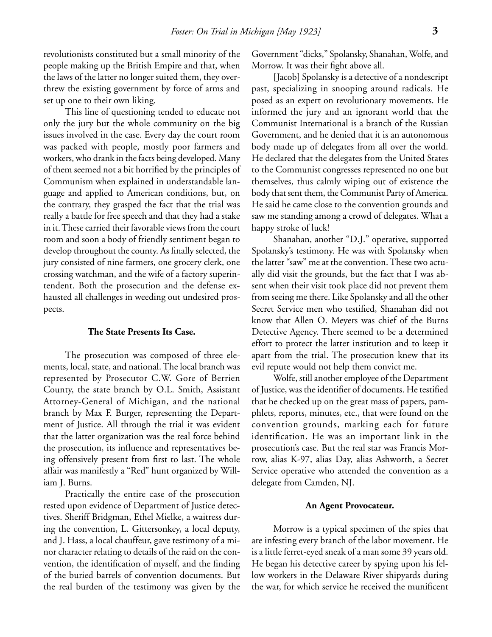revolutionists constituted but a small minority of the people making up the British Empire and that, when the laws of the latter no longer suited them, they overthrew the existing government by force of arms and set up one to their own liking.

This line of questioning tended to educate not only the jury but the whole community on the big issues involved in the case. Every day the court room was packed with people, mostly poor farmers and workers, who drank in the facts being developed. Many of them seemed not a bit horrified by the principles of Communism when explained in understandable language and applied to American conditions, but, on the contrary, they grasped the fact that the trial was really a battle for free speech and that they had a stake in it. These carried their favorable views from the court room and soon a body of friendly sentiment began to develop throughout the county. As finally selected, the jury consisted of nine farmers, one grocery clerk, one crossing watchman, and the wife of a factory superintendent. Both the prosecution and the defense exhausted all challenges in weeding out undesired prospects.

# **The State Presents Its Case.**

The prosecution was composed of three elements, local, state, and national. The local branch was represented by Prosecutor C.W. Gore of Berrien County, the state branch by O.L. Smith, Assistant Attorney-General of Michigan, and the national branch by Max F. Burger, representing the Department of Justice. All through the trial it was evident that the latter organization was the real force behind the prosecution, its influence and representatives being offensively present from first to last. The whole affair was manifestly a "Red" hunt organized by William J. Burns.

Practically the entire case of the prosecution rested upon evidence of Department of Justice detectives. Sheriff Bridgman, Ethel Mielke, a waitress during the convention, L. Gittersonkey, a local deputy, and J. Hass, a local chauffeur, gave testimony of a minor character relating to details of the raid on the convention, the identification of myself, and the finding of the buried barrels of convention documents. But the real burden of the testimony was given by the Government "dicks," Spolansky, Shanahan, Wolfe, and Morrow. It was their fight above all.

[Jacob] Spolansky is a detective of a nondescript past, specializing in snooping around radicals. He posed as an expert on revolutionary movements. He informed the jury and an ignorant world that the Communist International is a branch of the Russian Government, and he denied that it is an autonomous body made up of delegates from all over the world. He declared that the delegates from the United States to the Communist congresses represented no one but themselves, thus calmly wiping out of existence the body that sent them, the Communist Party of America. He said he came close to the convention grounds and saw me standing among a crowd of delegates. What a happy stroke of luck!

Shanahan, another "D.J." operative, supported Spolansky's testimony. He was with Spolansky when the latter "saw" me at the convention. These two actually did visit the grounds, but the fact that I was absent when their visit took place did not prevent them from seeing me there. Like Spolansky and all the other Secret Service men who testified, Shanahan did not know that Allen O. Meyers was chief of the Burns Detective Agency. There seemed to be a determined effort to protect the latter institution and to keep it apart from the trial. The prosecution knew that its evil repute would not help them convict me.

Wolfe, still another employee of the Department of Justice, was the identifier of documents. He testified that he checked up on the great mass of papers, pamphlets, reports, minutes, etc., that were found on the convention grounds, marking each for future identification. He was an important link in the prosecution's case. But the real star was Francis Morrow, alias K-97, alias Day, alias Ashworth, a Secret Service operative who attended the convention as a delegate from Camden, NJ.

#### **An Agent Provocateur.**

Morrow is a typical specimen of the spies that are infesting every branch of the labor movement. He is a little ferret-eyed sneak of a man some 39 years old. He began his detective career by spying upon his fellow workers in the Delaware River shipyards during the war, for which service he received the munificent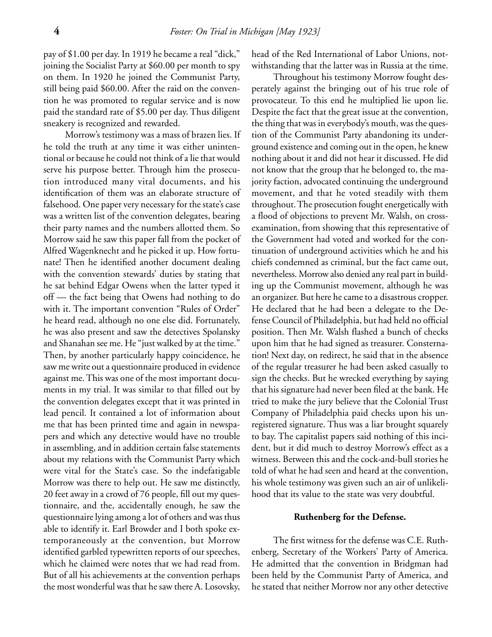pay of \$1.00 per day. In 1919 he became a real "dick," joining the Socialist Party at \$60.00 per month to spy on them. In 1920 he joined the Communist Party, still being paid \$60.00. After the raid on the convention he was promoted to regular service and is now paid the standard rate of \$5.00 per day. Thus diligent sneakery is recognized and rewarded.

Morrow's testimony was a mass of brazen lies. If he told the truth at any time it was either unintentional or because he could not think of a lie that would serve his purpose better. Through him the prosecution introduced many vital documents, and his identification of them was an elaborate structure of falsehood. One paper very necessary for the state's case was a written list of the convention delegates, bearing their party names and the numbers allotted them. So Morrow said he saw this paper fall from the pocket of Alfred Wagenknecht and he picked it up. How fortunate! Then he identified another document dealing with the convention stewards' duties by stating that he sat behind Edgar Owens when the latter typed it off — the fact being that Owens had nothing to do with it. The important convention "Rules of Order" he heard read, although no one else did. Fortunately, he was also present and saw the detectives Spolansky and Shanahan see me. He "just walked by at the time." Then, by another particularly happy coincidence, he saw me write out a questionnaire produced in evidence against me. This was one of the most important documents in my trial. It was similar to that filled out by the convention delegates except that it was printed in lead pencil. It contained a lot of information about me that has been printed time and again in newspapers and which any detective would have no trouble in assembling, and in addition certain false statements about my relations with the Communist Party which were vital for the State's case. So the indefatigable Morrow was there to help out. He saw me distinctly, 20 feet away in a crowd of 76 people, fill out my questionnaire, and the, accidentally enough, he saw the questionnaire lying among a lot of others and was thus able to identify it. Earl Browder and I both spoke extemporaneously at the convention, but Morrow identified garbled typewritten reports of our speeches, which he claimed were notes that we had read from. But of all his achievements at the convention perhaps the most wonderful was that he saw there A. Losovsky,

head of the Red International of Labor Unions, notwithstanding that the latter was in Russia at the time.

Throughout his testimony Morrow fought desperately against the bringing out of his true role of provocateur. To this end he multiplied lie upon lie. Despite the fact that the great issue at the convention, the thing that was in everybody's mouth, was the question of the Communist Party abandoning its underground existence and coming out in the open, he knew nothing about it and did not hear it discussed. He did not know that the group that he belonged to, the majority faction, advocated continuing the underground movement, and that he voted steadily with them throughout. The prosecution fought energetically with a flood of objections to prevent Mr. Walsh, on crossexamination, from showing that this representative of the Government had voted and worked for the continuation of underground activities which he and his chiefs condemned as criminal, but the fact came out, nevertheless. Morrow also denied any real part in building up the Communist movement, although he was an organizer. But here he came to a disastrous cropper. He declared that he had been a delegate to the Defense Council of Philadelphia, but had held no official position. Then Mr. Walsh flashed a bunch of checks upon him that he had signed as treasurer. Consternation! Next day, on redirect, he said that in the absence of the regular treasurer he had been asked casually to sign the checks. But he wrecked everything by saying that his signature had never been filed at the bank. He tried to make the jury believe that the Colonial Trust Company of Philadelphia paid checks upon his unregistered signature. Thus was a liar brought squarely to bay. The capitalist papers said nothing of this incident, but it did much to destroy Morrow's effect as a witness. Between this and the cock-and-bull stories he told of what he had seen and heard at the convention, his whole testimony was given such an air of unlikelihood that its value to the state was very doubtful.

## **Ruthenberg for the Defense.**

The first witness for the defense was C.E. Ruthenberg, Secretary of the Workers' Party of America. He admitted that the convention in Bridgman had been held by the Communist Party of America, and he stated that neither Morrow nor any other detective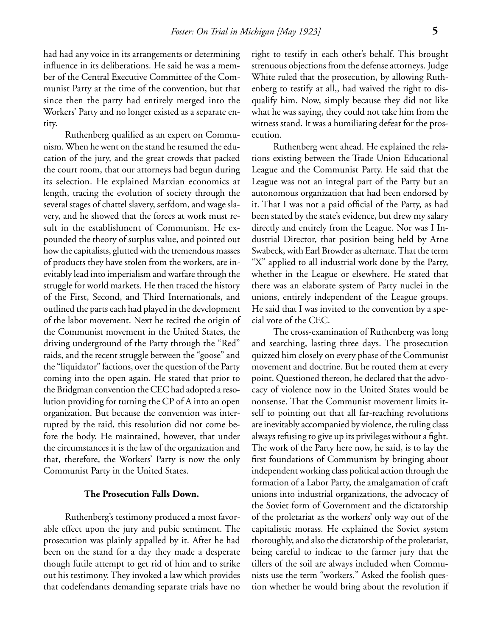had had any voice in its arrangements or determining influence in its deliberations. He said he was a member of the Central Executive Committee of the Communist Party at the time of the convention, but that since then the party had entirely merged into the Workers' Party and no longer existed as a separate entity.

Ruthenberg qualified as an expert on Communism. When he went on the stand he resumed the education of the jury, and the great crowds that packed the court room, that our attorneys had begun during its selection. He explained Marxian economics at length, tracing the evolution of society through the several stages of chattel slavery, serfdom, and wage slavery, and he showed that the forces at work must result in the establishment of Communism. He expounded the theory of surplus value, and pointed out how the capitalists, glutted with the tremendous masses of products they have stolen from the workers, are inevitably lead into imperialism and warfare through the struggle for world markets. He then traced the history of the First, Second, and Third Internationals, and outlined the parts each had played in the development of the labor movement. Next he recited the origin of the Communist movement in the United States, the driving underground of the Party through the "Red" raids, and the recent struggle between the "goose" and the "liquidator" factions, over the question of the Party coming into the open again. He stated that prior to the Bridgman convention the CEC had adopted a resolution providing for turning the CP of A into an open organization. But because the convention was interrupted by the raid, this resolution did not come before the body. He maintained, however, that under the circumstances it is the law of the organization and that, therefore, the Workers' Party is now the only Communist Party in the United States.

#### **The Prosecution Falls Down.**

Ruthenberg's testimony produced a most favorable effect upon the jury and pubic sentiment. The prosecution was plainly appalled by it. After he had been on the stand for a day they made a desperate though futile attempt to get rid of him and to strike out his testimony. They invoked a law which provides that codefendants demanding separate trials have no

right to testify in each other's behalf. This brought strenuous objections from the defense attorneys. Judge White ruled that the prosecution, by allowing Ruthenberg to testify at all,, had waived the right to disqualify him. Now, simply because they did not like what he was saying, they could not take him from the witness stand. It was a humiliating defeat for the prosecution.

Ruthenberg went ahead. He explained the relations existing between the Trade Union Educational League and the Communist Party. He said that the League was not an integral part of the Party but an autonomous organization that had been endorsed by it. That I was not a paid official of the Party, as had been stated by the state's evidence, but drew my salary directly and entirely from the League. Nor was I Industrial Director, that position being held by Arne Swabeck, with Earl Browder as alternate. That the term "X" applied to all industrial work done by the Party, whether in the League or elsewhere. He stated that there was an elaborate system of Party nuclei in the unions, entirely independent of the League groups. He said that I was invited to the convention by a special vote of the CEC.

The cross-examination of Ruthenberg was long and searching, lasting three days. The prosecution quizzed him closely on every phase of the Communist movement and doctrine. But he routed them at every point. Questioned thereon, he declared that the advocacy of violence now in the United States would be nonsense. That the Communist movement limits itself to pointing out that all far-reaching revolutions are inevitably accompanied by violence, the ruling class always refusing to give up its privileges without a fight. The work of the Party here now, he said, is to lay the first foundations of Communism by bringing about independent working class political action through the formation of a Labor Party, the amalgamation of craft unions into industrial organizations, the advocacy of the Soviet form of Government and the dictatorship of the proletariat as the workers' only way out of the capitalistic morass. He explained the Soviet system thoroughly, and also the dictatorship of the proletariat, being careful to indicae to the farmer jury that the tillers of the soil are always included when Communists use the term "workers." Asked the foolish question whether he would bring about the revolution if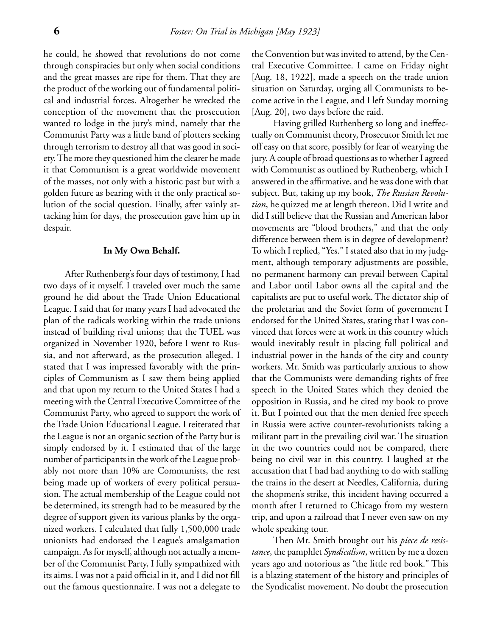he could, he showed that revolutions do not come through conspiracies but only when social conditions and the great masses are ripe for them. That they are the product of the working out of fundamental political and industrial forces. Altogether he wrecked the conception of the movement that the prosecution wanted to lodge in the jury's mind, namely that the Communist Party was a little band of plotters seeking through terrorism to destroy all that was good in society. The more they questioned him the clearer he made it that Communism is a great worldwide movement of the masses, not only with a historic past but with a golden future as bearing with it the only practical solution of the social question. Finally, after vainly attacking him for days, the prosecution gave him up in despair.

## **In My Own Behalf.**

After Ruthenberg's four days of testimony, I had two days of it myself. I traveled over much the same ground he did about the Trade Union Educational League. I said that for many years I had advocated the plan of the radicals working within the trade unions instead of building rival unions; that the TUEL was organized in November 1920, before I went to Russia, and not afterward, as the prosecution alleged. I stated that I was impressed favorably with the principles of Communism as I saw them being applied and that upon my return to the United States I had a meeting with the Central Executive Committee of the Communist Party, who agreed to support the work of the Trade Union Educational League. I reiterated that the League is not an organic section of the Party but is simply endorsed by it. I estimated that of the large number of participants in the work of the League probably not more than 10% are Communists, the rest being made up of workers of every political persuasion. The actual membership of the League could not be determined, its strength had to be measured by the degree of support given its various planks by the organized workers. I calculated that fully 1,500,000 trade unionists had endorsed the League's amalgamation campaign. As for myself, although not actually a member of the Communist Party, I fully sympathized with its aims. I was not a paid official in it, and I did not fill out the famous questionnaire. I was not a delegate to

the Convention but was invited to attend, by the Central Executive Committee. I came on Friday night [Aug. 18, 1922], made a speech on the trade union situation on Saturday, urging all Communists to become active in the League, and I left Sunday morning [Aug. 20], two days before the raid.

Having grilled Ruthenberg so long and ineffectually on Communist theory, Prosecutor Smith let me off easy on that score, possibly for fear of wearying the jury. A couple of broad questions as to whether I agreed with Communist as outlined by Ruthenberg, which I answered in the affirmative, and he was done with that subject. But, taking up my book, *The Russian Revolution*, he quizzed me at length thereon. Did I write and did I still believe that the Russian and American labor movements are "blood brothers," and that the only difference between them is in degree of development? To which I replied, "Yes." I stated also that in my judgment, although temporary adjustments are possible, no permanent harmony can prevail between Capital and Labor until Labor owns all the capital and the capitalists are put to useful work. The dictator ship of the proletariat and the Soviet form of government I endorsed for the United States, stating that I was convinced that forces were at work in this country which would inevitably result in placing full political and industrial power in the hands of the city and county workers. Mr. Smith was particularly anxious to show that the Communists were demanding rights of free speech in the United States which they denied the opposition in Russia, and he cited my book to prove it. But I pointed out that the men denied free speech in Russia were active counter-revolutionists taking a militant part in the prevailing civil war. The situation in the two countries could not be compared, there being no civil war in this country. I laughed at the accusation that I had had anything to do with stalling the trains in the desert at Needles, California, during the shopmen's strike, this incident having occurred a month after I returned to Chicago from my western trip, and upon a railroad that I never even saw on my whole speaking tour.

Then Mr. Smith brought out his *piece de resistance*, the pamphlet *Syndicalism*, written by me a dozen years ago and notorious as "the little red book." This is a blazing statement of the history and principles of the Syndicalist movement. No doubt the prosecution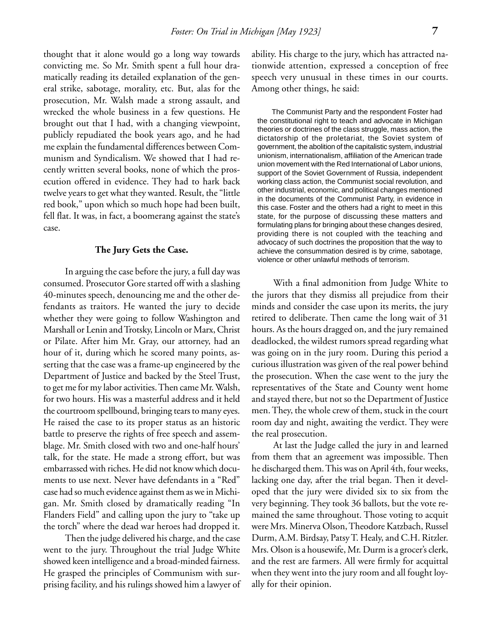thought that it alone would go a long way towards convicting me. So Mr. Smith spent a full hour dramatically reading its detailed explanation of the general strike, sabotage, morality, etc. But, alas for the prosecution, Mr. Walsh made a strong assault, and wrecked the whole business in a few questions. He brought out that I had, with a changing viewpoint, publicly repudiated the book years ago, and he had me explain the fundamental differences between Communism and Syndicalism. We showed that I had recently written several books, none of which the prosecution offered in evidence. They had to hark back twelve years to get what they wanted. Result, the "little red book," upon which so much hope had been built, fell flat. It was, in fact, a boomerang against the state's case.

# **The Jury Gets the Case.**

In arguing the case before the jury, a full day was consumed. Prosecutor Gore started off with a slashing 40-minutes speech, denouncing me and the other defendants as traitors. He wanted the jury to decide whether they were going to follow Washington and Marshall or Lenin and Trotsky, Lincoln or Marx, Christ or Pilate. After him Mr. Gray, our attorney, had an hour of it, during which he scored many points, asserting that the case was a frame-up engineered by the Department of Justice and backed by the Steel Trust, to get me for my labor activities. Then came Mr. Walsh, for two hours. His was a masterful address and it held the courtroom spellbound, bringing tears to many eyes. He raised the case to its proper status as an historic battle to preserve the rights of free speech and assemblage. Mr. Smith closed with two and one-half hours' talk, for the state. He made a strong effort, but was embarrassed with riches. He did not know which documents to use next. Never have defendants in a "Red" case had so much evidence against them as we in Michigan. Mr. Smith closed by dramatically reading "In Flanders Field" and calling upon the jury to "take up the torch" where the dead war heroes had dropped it.

Then the judge delivered his charge, and the case went to the jury. Throughout the trial Judge White showed keen intelligence and a broad-minded fairness. He grasped the principles of Communism with surprising facility, and his rulings showed him a lawyer of ability. His charge to the jury, which has attracted nationwide attention, expressed a conception of free speech very unusual in these times in our courts. Among other things, he said:

The Communist Party and the respondent Foster had the constitutional right to teach and advocate in Michigan theories or doctrines of the class struggle, mass action, the dictatorship of the proletariat, the Soviet system of government, the abolition of the capitalistic system, industrial unionism, internationalism, affiliation of the American trade union movement with the Red International of Labor unions, support of the Soviet Government of Russia, independent working class action, the Communist social revolution, and other industrial, economic, and political changes mentioned in the documents of the Communist Party, in evidence in this case. Foster and the others had a right to meet in this state, for the purpose of discussing these matters and formulating plans for bringing about these changes desired, providing there is not coupled with the teaching and advocacy of such doctrines the proposition that the way to achieve the consummation desired is by crime, sabotage, violence or other unlawful methods of terrorism.

With a final admonition from Judge White to the jurors that they dismiss all prejudice from their minds and consider the case upon its merits, the jury retired to deliberate. Then came the long wait of 31 hours. As the hours dragged on, and the jury remained deadlocked, the wildest rumors spread regarding what was going on in the jury room. During this period a curious illustration was given of the real power behind the prosecution. When the case went to the jury the representatives of the State and County went home and stayed there, but not so the Department of Justice men. They, the whole crew of them, stuck in the court room day and night, awaiting the verdict. They were the real prosecution.

At last the Judge called the jury in and learned from them that an agreement was impossible. Then he discharged them. This was on April 4th, four weeks, lacking one day, after the trial began. Then it developed that the jury were divided six to six from the very beginning. They took 36 ballots, but the vote remained the same throughout. Those voting to acquit were Mrs. Minerva Olson, Theodore Katzbach, Russel Durm, A.M. Birdsay, Patsy T. Healy, and C.H. Ritzler. Mrs. Olson is a housewife, Mr. Durm is a grocer's clerk, and the rest are farmers. All were firmly for acquittal when they went into the jury room and all fought loyally for their opinion.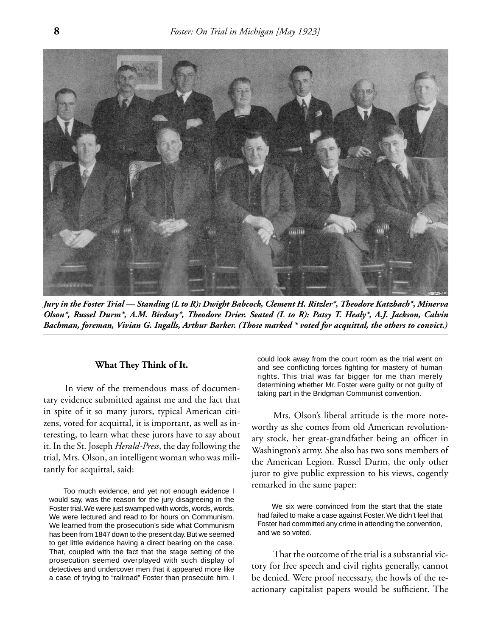

*Jury in the Foster Trial — Standing (L to R): Dwight Babcock, Clement H. Ritzler\*, Theodore Katzbach\*, Minerva Olson\*, Russel Durm\*, A.M. Birdsay\*, Theodore Drier. Seated (L to R): Patsy T. Healy\*, A.J. Jackson, Calvin Bachman, foreman, Vivian G. Ingalls, Arthur Barker. (Those marked \* voted for acquittal, the others to convict.)*

### **What They Think of It.**

In view of the tremendous mass of documentary evidence submitted against me and the fact that in spite of it so many jurors, typical American citizens, voted for acquittal, it is important, as well as interesting, to learn what these jurors have to say about it. In the St. Joseph *Herald-Press*, the day following the trial, Mrs. Olson, an intelligent woman who was militantly for acquittal, said:

Too much evidence, and yet not enough evidence I would say, was the reason for the jury disagreeing in the Foster trial. We were just swamped with words, words, words. We were lectured and read to for hours on Communism. We learned from the prosecution's side what Communism has been from 1847 down to the present day. But we seemed to get little evidence having a direct bearing on the case. That, coupled with the fact that the stage setting of the prosecution seemed overplayed with such display of detectives and undercover men that it appeared more like a case of trying to "railroad" Foster than prosecute him. I

could look away from the court room as the trial went on and see conflicting forces fighting for mastery of human rights. This trial was far bigger for me than merely determining whether Mr. Foster were guilty or not guilty of taking part in the Bridgman Communist convention.

Mrs. Olson's liberal attitude is the more noteworthy as she comes from old American revolutionary stock, her great-grandfather being an officer in Washington's army. She also has two sons members of the American Legion. Russel Durm, the only other juror to give public expression to his views, cogently remarked in the same paper:

We six were convinced from the start that the state had failed to make a case against Foster. We didn't feel that Foster had committed any crime in attending the convention, and we so voted.

That the outcome of the trial is a substantial victory for free speech and civil rights generally, cannot be denied. Were proof necessary, the howls of the reactionary capitalist papers would be sufficient. The